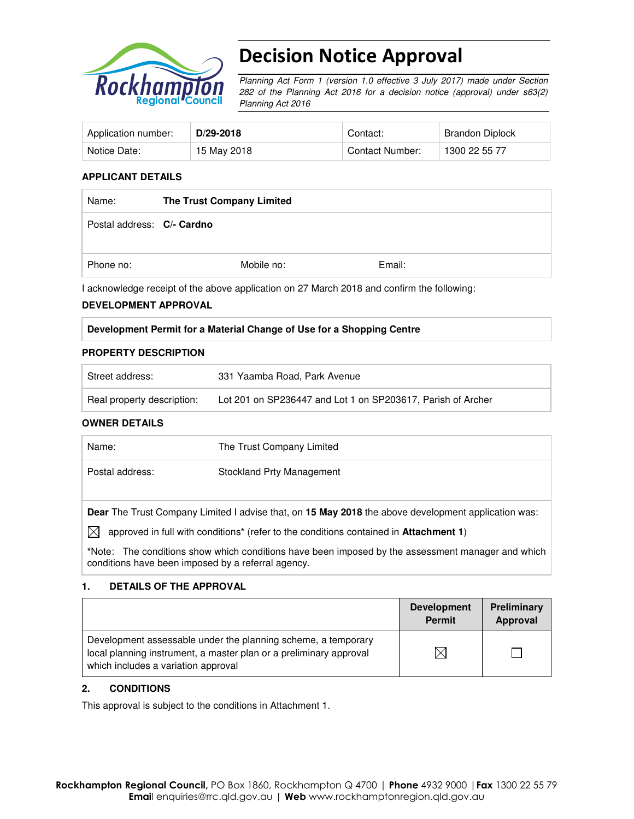

# Decision Notice Approval

Planning Act Form 1 (version 1.0 effective 3 July 2017) made under Section 282 of the Planning Act 2016 for a decision notice (approval) under s63(2) Planning Act 2016

| Application number: | $D/29-2018$ | Contact:        | Brandon Diplock |
|---------------------|-------------|-----------------|-----------------|
| Notice Date:        | 15 May 2018 | Contact Number: | 1300 22 55 77   |

#### **APPLICANT DETAILS**

| Name:                      | The Trust Company Limited |            |        |
|----------------------------|---------------------------|------------|--------|
| Postal address: C/- Cardno |                           |            |        |
| Phone no:                  |                           | Mobile no: | Email: |

I acknowledge receipt of the above application on 27 March 2018 and confirm the following:

#### **DEVELOPMENT APPROVAL**

#### **Development Permit for a Material Change of Use for a Shopping Centre**

#### **PROPERTY DESCRIPTION**

| Street address:            | 331 Yaamba Road, Park Avenue                                |
|----------------------------|-------------------------------------------------------------|
| Real property description: | Lot 201 on SP236447 and Lot 1 on SP203617, Parish of Archer |

#### **OWNER DETAILS**

| Name:           | The Trust Company Limited                                                                                  |
|-----------------|------------------------------------------------------------------------------------------------------------|
| Postal address: | Stockland Prty Management                                                                                  |
|                 | <b>Dear</b> The Trust Company Limited I advise that, on 15 May 2018 the above development application was: |

 $\boxtimes$  approved in full with conditions<sup>\*</sup> (refer to the conditions contained in **Attachment 1**)

**\***Note:The conditions show which conditions have been imposed by the assessment manager and which conditions have been imposed by a referral agency.

#### **1. DETAILS OF THE APPROVAL**

|                                                                                                                                                                            | <b>Development</b><br><b>Permit</b> | Preliminary<br>Approval |
|----------------------------------------------------------------------------------------------------------------------------------------------------------------------------|-------------------------------------|-------------------------|
| Development assessable under the planning scheme, a temporary<br>local planning instrument, a master plan or a preliminary approval<br>which includes a variation approval |                                     |                         |

#### **2. CONDITIONS**

This approval is subject to the conditions in Attachment 1.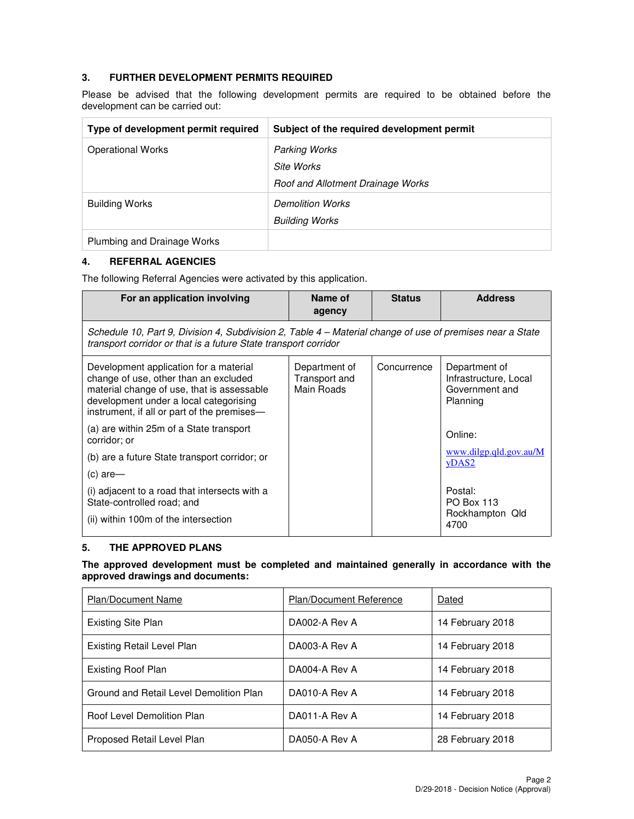### **3. FURTHER DEVELOPMENT PERMITS REQUIRED**

Please be advised that the following development permits are required to be obtained before the development can be carried out:

| Type of development permit required | Subject of the required development permit |
|-------------------------------------|--------------------------------------------|
| <b>Operational Works</b>            | <b>Parking Works</b>                       |
|                                     | Site Works                                 |
|                                     | Roof and Allotment Drainage Works          |
| <b>Building Works</b>               | <b>Demolition Works</b>                    |
|                                     | <b>Building Works</b>                      |
| Plumbing and Drainage Works         |                                            |

### **4. REFERRAL AGENCIES**

The following Referral Agencies were activated by this application.

| For an application involving                                                                                                                                                                                           | Name of<br>agency                            | <b>Status</b> | <b>Address</b>                                                       |
|------------------------------------------------------------------------------------------------------------------------------------------------------------------------------------------------------------------------|----------------------------------------------|---------------|----------------------------------------------------------------------|
| Schedule 10, Part 9, Division 4, Subdivision 2, Table 4 – Material change of use of premises near a State<br>transport corridor or that is a future State transport corridor                                           |                                              |               |                                                                      |
| Development application for a material<br>change of use, other than an excluded<br>material change of use, that is assessable<br>development under a local categorising<br>instrument, if all or part of the premises— | Department of<br>Transport and<br>Main Roads | Concurrence   | Department of<br>Infrastructure, Local<br>Government and<br>Planning |
| (a) are within 25m of a State transport<br>corridor; or                                                                                                                                                                |                                              |               | Online:                                                              |
| (b) are a future State transport corridor; or                                                                                                                                                                          |                                              |               | www.dilgp.qld.gov.au/M<br>yDAS2                                      |
| $(c)$ are-                                                                                                                                                                                                             |                                              |               |                                                                      |
| (i) adjacent to a road that intersects with a<br>State-controlled road; and                                                                                                                                            |                                              |               | Postal:<br><b>PO Box 113</b>                                         |
| (ii) within 100m of the intersection                                                                                                                                                                                   |                                              |               | Rockhampton Qld<br>4700                                              |

#### **5. THE APPROVED PLANS**

#### **The approved development must be completed and maintained generally in accordance with the approved drawings and documents:**

| <b>Plan/Document Name</b>               | Plan/Document Reference | Dated            |
|-----------------------------------------|-------------------------|------------------|
| Existing Site Plan                      | DA002-A Rev A           | 14 February 2018 |
| Existing Retail Level Plan              | DA003-A Rev A           | 14 February 2018 |
| <b>Existing Roof Plan</b>               | DA004-A Rev A           | 14 February 2018 |
| Ground and Retail Level Demolition Plan | DA010-A Rev A           | 14 February 2018 |
| Roof Level Demolition Plan              | DA011-A Rev A           | 14 February 2018 |
| Proposed Retail Level Plan              | DA050-A Rev A           | 28 February 2018 |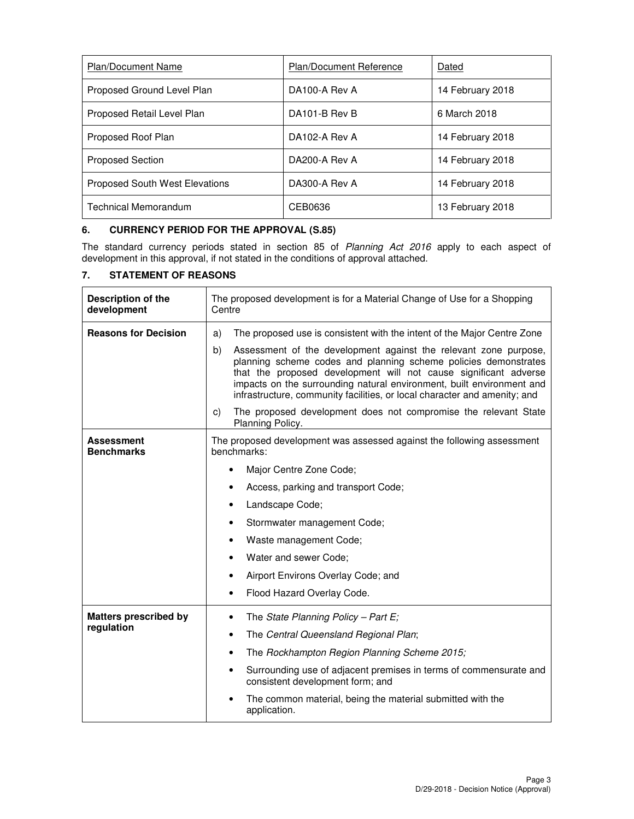| <b>Plan/Document Name</b>             | Plan/Document Reference | Dated            |
|---------------------------------------|-------------------------|------------------|
| Proposed Ground Level Plan            | DA100-A Rev A           | 14 February 2018 |
| Proposed Retail Level Plan            | DA101-B Rev B           | 6 March 2018     |
| Proposed Roof Plan                    | DA102-A Rev A           | 14 February 2018 |
| <b>Proposed Section</b>               | DA200-A Rev A           | 14 February 2018 |
| <b>Proposed South West Elevations</b> | DA300-A Rev A           | 14 February 2018 |
| Technical Memorandum                  | CEB0636                 | 13 February 2018 |

## **6. CURRENCY PERIOD FOR THE APPROVAL (S.85)**

The standard currency periods stated in section 85 of Planning Act 2016 apply to each aspect of development in this approval, if not stated in the conditions of approval attached.

## **7. STATEMENT OF REASONS**

| <b>Description of the</b><br>development | The proposed development is for a Material Change of Use for a Shopping<br>Centre                                                                                                                                                                                                                                                                                   |  |  |
|------------------------------------------|---------------------------------------------------------------------------------------------------------------------------------------------------------------------------------------------------------------------------------------------------------------------------------------------------------------------------------------------------------------------|--|--|
| <b>Reasons for Decision</b>              | The proposed use is consistent with the intent of the Major Centre Zone<br>a)                                                                                                                                                                                                                                                                                       |  |  |
|                                          | Assessment of the development against the relevant zone purpose,<br>b)<br>planning scheme codes and planning scheme policies demonstrates<br>that the proposed development will not cause significant adverse<br>impacts on the surrounding natural environment, built environment and<br>infrastructure, community facilities, or local character and amenity; and |  |  |
|                                          | The proposed development does not compromise the relevant State<br>C)<br>Planning Policy.                                                                                                                                                                                                                                                                           |  |  |
| <b>Assessment</b><br><b>Benchmarks</b>   | The proposed development was assessed against the following assessment<br>benchmarks:                                                                                                                                                                                                                                                                               |  |  |
|                                          | Major Centre Zone Code;                                                                                                                                                                                                                                                                                                                                             |  |  |
|                                          | Access, parking and transport Code;                                                                                                                                                                                                                                                                                                                                 |  |  |
|                                          | Landscape Code;<br>٠                                                                                                                                                                                                                                                                                                                                                |  |  |
|                                          | Stormwater management Code;<br>٠                                                                                                                                                                                                                                                                                                                                    |  |  |
|                                          | Waste management Code;<br>٠                                                                                                                                                                                                                                                                                                                                         |  |  |
|                                          | Water and sewer Code;<br>$\bullet$                                                                                                                                                                                                                                                                                                                                  |  |  |
|                                          | Airport Environs Overlay Code; and                                                                                                                                                                                                                                                                                                                                  |  |  |
|                                          | Flood Hazard Overlay Code.<br>٠                                                                                                                                                                                                                                                                                                                                     |  |  |
| <b>Matters prescribed by</b>             | The State Planning Policy - Part E;<br>$\bullet$                                                                                                                                                                                                                                                                                                                    |  |  |
| regulation                               | The Central Queensland Regional Plan;<br>$\bullet$                                                                                                                                                                                                                                                                                                                  |  |  |
|                                          | The Rockhampton Region Planning Scheme 2015;                                                                                                                                                                                                                                                                                                                        |  |  |
|                                          | Surrounding use of adjacent premises in terms of commensurate and<br>consistent development form; and                                                                                                                                                                                                                                                               |  |  |
|                                          | The common material, being the material submitted with the<br>application.                                                                                                                                                                                                                                                                                          |  |  |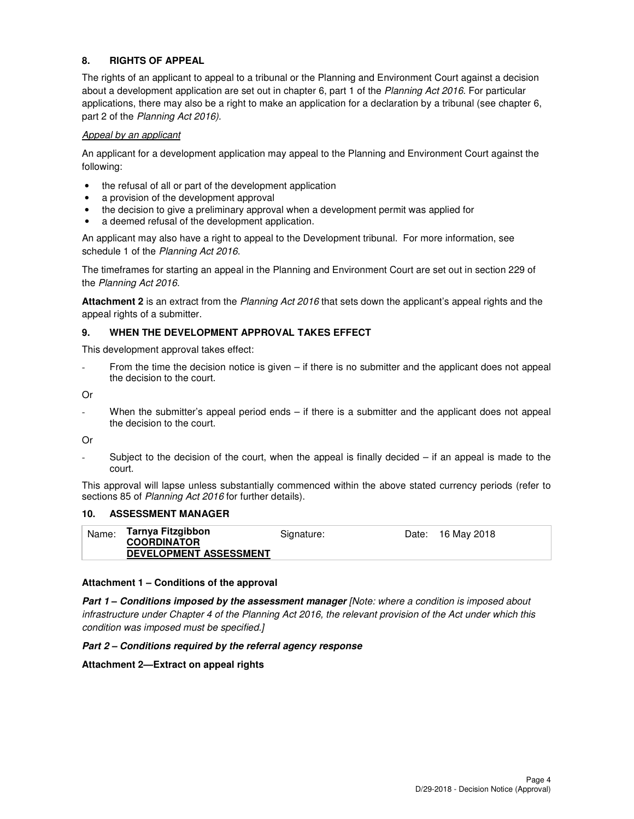## **8. RIGHTS OF APPEAL**

The rights of an applicant to appeal to a tribunal or the Planning and Environment Court against a decision about a development application are set out in chapter 6, part 1 of the Planning Act 2016. For particular applications, there may also be a right to make an application for a declaration by a tribunal (see chapter 6, part 2 of the Planning Act 2016).

#### Appeal by an applicant

An applicant for a development application may appeal to the Planning and Environment Court against the following:

- the refusal of all or part of the development application
- a provision of the development approval
- the decision to give a preliminary approval when a development permit was applied for
- a deemed refusal of the development application.

An applicant may also have a right to appeal to the Development tribunal. For more information, see schedule 1 of the Planning Act 2016.

The timeframes for starting an appeal in the Planning and Environment Court are set out in section 229 of the Planning Act 2016.

**Attachment 2** is an extract from the Planning Act 2016 that sets down the applicant's appeal rights and the appeal rights of a submitter.

#### **9. WHEN THE DEVELOPMENT APPROVAL TAKES EFFECT**

This development approval takes effect:

From the time the decision notice is given – if there is no submitter and the applicant does not appeal the decision to the court.

Or

When the submitter's appeal period ends – if there is a submitter and the applicant does not appeal the decision to the court.

Or

Subject to the decision of the court, when the appeal is finally decided  $-$  if an appeal is made to the court.

This approval will lapse unless substantially commenced within the above stated currency periods (refer to sections 85 of Planning Act 2016 for further details).

#### **10. ASSESSMENT MANAGER**

| <b>COORDINATOR</b><br><b>DEVELOPMENT ASSESSMENT</b> | Name: | Tarnya Fitzgibbon | Signature: | Date: 16 May 2018 |
|-----------------------------------------------------|-------|-------------------|------------|-------------------|
|                                                     |       |                   |            |                   |

#### **Attachment 1 – Conditions of the approval**

**Part 1 – Conditions imposed by the assessment manager** [Note: where a condition is imposed about infrastructure under Chapter 4 of the Planning Act 2016, the relevant provision of the Act under which this condition was imposed must be specified.]

#### **Part 2 – Conditions required by the referral agency response**

#### **Attachment 2—Extract on appeal rights**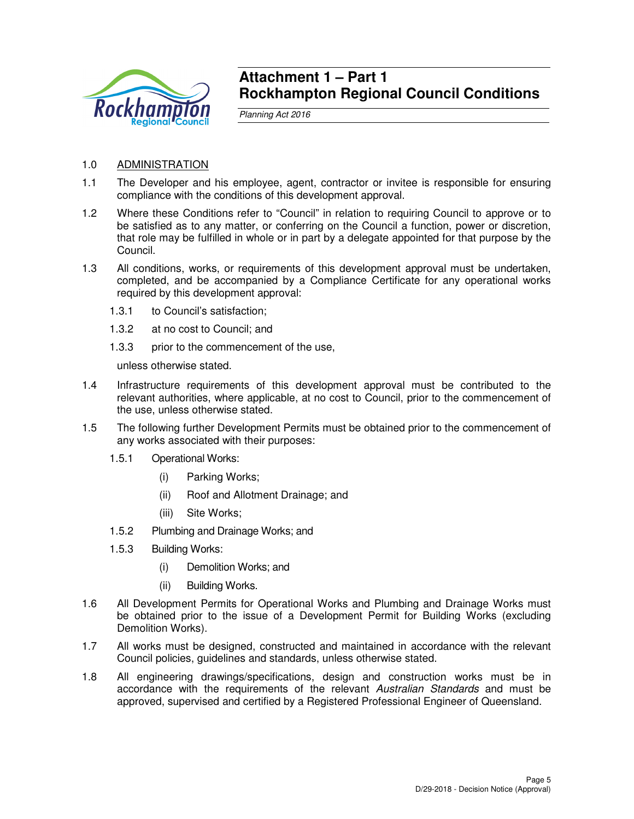

## **Attachment 1 – Part 1 Rockhampton Regional Council Conditions**

Planning Act 2016

- 1.0 ADMINISTRATION
- 1.1 The Developer and his employee, agent, contractor or invitee is responsible for ensuring compliance with the conditions of this development approval.
- 1.2 Where these Conditions refer to "Council" in relation to requiring Council to approve or to be satisfied as to any matter, or conferring on the Council a function, power or discretion, that role may be fulfilled in whole or in part by a delegate appointed for that purpose by the Council.
- 1.3 All conditions, works, or requirements of this development approval must be undertaken, completed, and be accompanied by a Compliance Certificate for any operational works required by this development approval:
	- 1.3.1 to Council's satisfaction;
	- 1.3.2 at no cost to Council; and
	- 1.3.3 prior to the commencement of the use,

unless otherwise stated.

- 1.4 Infrastructure requirements of this development approval must be contributed to the relevant authorities, where applicable, at no cost to Council, prior to the commencement of the use, unless otherwise stated.
- 1.5 The following further Development Permits must be obtained prior to the commencement of any works associated with their purposes:
	- 1.5.1 Operational Works:
		- (i) Parking Works;
		- (ii) Roof and Allotment Drainage; and
		- (iii) Site Works;
	- 1.5.2 Plumbing and Drainage Works; and
	- 1.5.3 Building Works:
		- (i) Demolition Works; and
		- (ii) Building Works.
- 1.6 All Development Permits for Operational Works and Plumbing and Drainage Works must be obtained prior to the issue of a Development Permit for Building Works (excluding Demolition Works).
- 1.7 All works must be designed, constructed and maintained in accordance with the relevant Council policies, guidelines and standards, unless otherwise stated.
- 1.8 All engineering drawings/specifications, design and construction works must be in accordance with the requirements of the relevant Australian Standards and must be approved, supervised and certified by a Registered Professional Engineer of Queensland.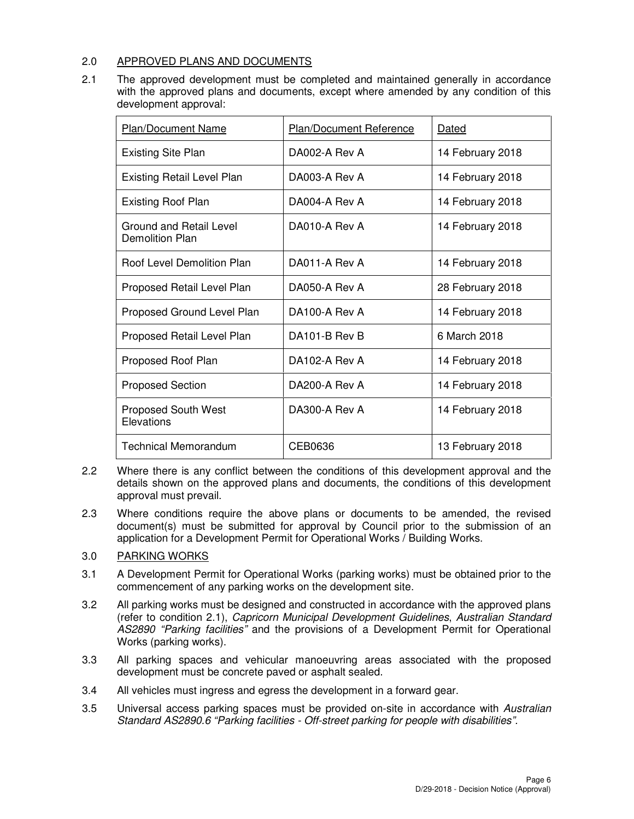### 2.0 APPROVED PLANS AND DOCUMENTS

2.1 The approved development must be completed and maintained generally in accordance with the approved plans and documents, except where amended by any condition of this development approval:

| <b>Plan/Document Name</b>                  | <b>Plan/Document Reference</b> | Dated            |
|--------------------------------------------|--------------------------------|------------------|
| <b>Existing Site Plan</b>                  | DA002-A Rev A                  | 14 February 2018 |
| <b>Existing Retail Level Plan</b>          | DA003-A Rev A                  | 14 February 2018 |
| <b>Existing Roof Plan</b>                  | DA004-A Rev A                  | 14 February 2018 |
| Ground and Retail Level<br>Demolition Plan | DA010-A Rev A                  | 14 February 2018 |
| <b>Roof Level Demolition Plan</b>          | DA011-A Rev A                  | 14 February 2018 |
| Proposed Retail Level Plan                 | DA050-A Rev A                  | 28 February 2018 |
| Proposed Ground Level Plan                 | DA100-A Rev A                  | 14 February 2018 |
| Proposed Retail Level Plan                 | DA101-B Rev B                  | 6 March 2018     |
| Proposed Roof Plan                         | DA102-A Rev A                  | 14 February 2018 |
| <b>Proposed Section</b>                    | DA200-A Rev A                  | 14 February 2018 |
| <b>Proposed South West</b><br>Elevations   | DA300-A Rev A                  | 14 February 2018 |
| <b>Technical Memorandum</b>                | CEB0636                        | 13 February 2018 |

- 2.2 Where there is any conflict between the conditions of this development approval and the details shown on the approved plans and documents, the conditions of this development approval must prevail.
- 2.3 Where conditions require the above plans or documents to be amended, the revised document(s) must be submitted for approval by Council prior to the submission of an application for a Development Permit for Operational Works / Building Works.

## 3.0 PARKING WORKS

- 3.1 A Development Permit for Operational Works (parking works) must be obtained prior to the commencement of any parking works on the development site.
- 3.2 All parking works must be designed and constructed in accordance with the approved plans (refer to condition 2.1), Capricorn Municipal Development Guidelines, Australian Standard AS2890 "Parking facilities" and the provisions of a Development Permit for Operational Works (parking works).
- 3.3 All parking spaces and vehicular manoeuvring areas associated with the proposed development must be concrete paved or asphalt sealed.
- 3.4 All vehicles must ingress and egress the development in a forward gear.
- 3.5 Universal access parking spaces must be provided on-site in accordance with Australian Standard AS2890.6 "Parking facilities - Off-street parking for people with disabilities".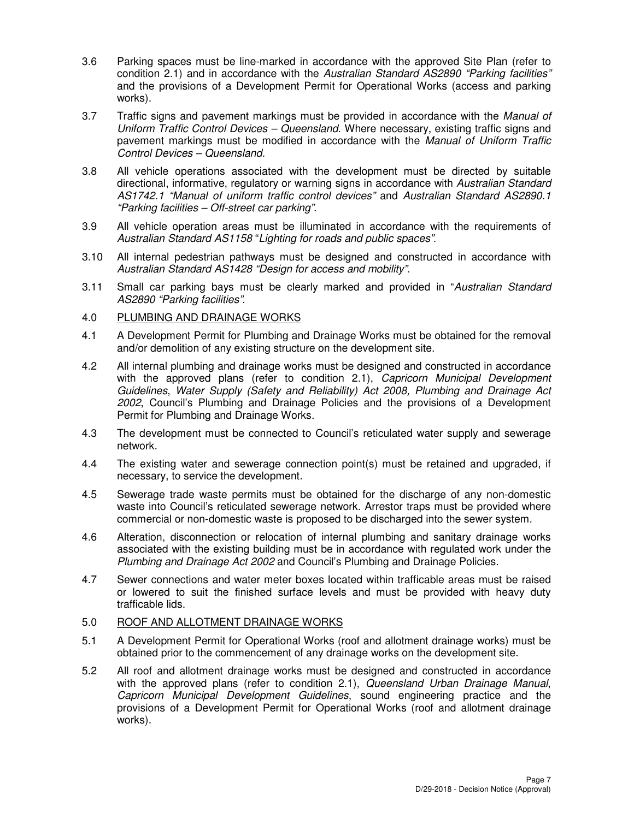- 3.6 Parking spaces must be line-marked in accordance with the approved Site Plan (refer to condition 2.1) and in accordance with the Australian Standard AS2890 "Parking facilities" and the provisions of a Development Permit for Operational Works (access and parking works).
- 3.7 Traffic signs and pavement markings must be provided in accordance with the Manual of Uniform Traffic Control Devices – Queensland. Where necessary, existing traffic signs and pavement markings must be modified in accordance with the Manual of Uniform Traffic Control Devices – Queensland.
- 3.8 All vehicle operations associated with the development must be directed by suitable directional, informative, regulatory or warning signs in accordance with Australian Standard AS1742.1 "Manual of uniform traffic control devices" and Australian Standard AS2890.1 "Parking facilities – Off-street car parking".
- 3.9 All vehicle operation areas must be illuminated in accordance with the requirements of Australian Standard AS1158 "Lighting for roads and public spaces".
- 3.10 All internal pedestrian pathways must be designed and constructed in accordance with Australian Standard AS1428 "Design for access and mobility".
- 3.11 Small car parking bays must be clearly marked and provided in "Australian Standard AS2890 "Parking facilities".
- 4.0 PLUMBING AND DRAINAGE WORKS
- 4.1 A Development Permit for Plumbing and Drainage Works must be obtained for the removal and/or demolition of any existing structure on the development site.
- 4.2 All internal plumbing and drainage works must be designed and constructed in accordance with the approved plans (refer to condition 2.1), Capricorn Municipal Development Guidelines, Water Supply (Safety and Reliability) Act 2008, Plumbing and Drainage Act 2002, Council's Plumbing and Drainage Policies and the provisions of a Development Permit for Plumbing and Drainage Works.
- 4.3 The development must be connected to Council's reticulated water supply and sewerage network.
- 4.4 The existing water and sewerage connection point(s) must be retained and upgraded, if necessary, to service the development.
- 4.5 Sewerage trade waste permits must be obtained for the discharge of any non-domestic waste into Council's reticulated sewerage network. Arrestor traps must be provided where commercial or non-domestic waste is proposed to be discharged into the sewer system.
- 4.6 Alteration, disconnection or relocation of internal plumbing and sanitary drainage works associated with the existing building must be in accordance with regulated work under the Plumbing and Drainage Act 2002 and Council's Plumbing and Drainage Policies.
- 4.7 Sewer connections and water meter boxes located within trafficable areas must be raised or lowered to suit the finished surface levels and must be provided with heavy duty trafficable lids.

## 5.0 ROOF AND ALLOTMENT DRAINAGE WORKS

- 5.1 A Development Permit for Operational Works (roof and allotment drainage works) must be obtained prior to the commencement of any drainage works on the development site.
- 5.2 All roof and allotment drainage works must be designed and constructed in accordance with the approved plans (refer to condition 2.1), Queensland Urban Drainage Manual, Capricorn Municipal Development Guidelines, sound engineering practice and the provisions of a Development Permit for Operational Works (roof and allotment drainage works).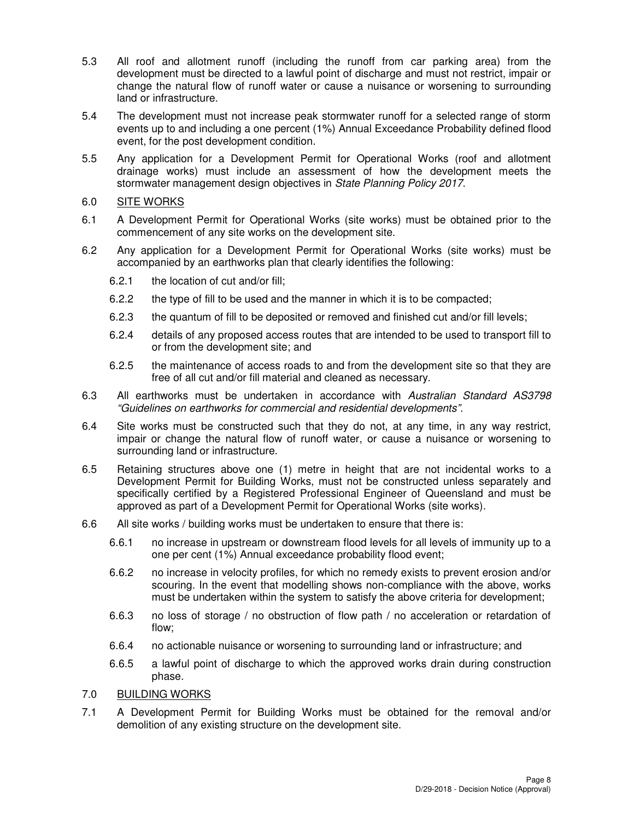- 5.3 All roof and allotment runoff (including the runoff from car parking area) from the development must be directed to a lawful point of discharge and must not restrict, impair or change the natural flow of runoff water or cause a nuisance or worsening to surrounding land or infrastructure.
- 5.4 The development must not increase peak stormwater runoff for a selected range of storm events up to and including a one percent (1%) Annual Exceedance Probability defined flood event, for the post development condition.
- 5.5 Any application for a Development Permit for Operational Works (roof and allotment drainage works) must include an assessment of how the development meets the stormwater management design objectives in State Planning Policy 2017.

### 6.0 SITE WORKS

- 6.1 A Development Permit for Operational Works (site works) must be obtained prior to the commencement of any site works on the development site.
- 6.2 Any application for a Development Permit for Operational Works (site works) must be accompanied by an earthworks plan that clearly identifies the following:
	- 6.2.1 the location of cut and/or fill;
	- 6.2.2 the type of fill to be used and the manner in which it is to be compacted;
	- 6.2.3 the quantum of fill to be deposited or removed and finished cut and/or fill levels;
	- 6.2.4 details of any proposed access routes that are intended to be used to transport fill to or from the development site; and
	- 6.2.5 the maintenance of access roads to and from the development site so that they are free of all cut and/or fill material and cleaned as necessary.
- 6.3 All earthworks must be undertaken in accordance with Australian Standard AS3798 "Guidelines on earthworks for commercial and residential developments".
- 6.4 Site works must be constructed such that they do not, at any time, in any way restrict, impair or change the natural flow of runoff water, or cause a nuisance or worsening to surrounding land or infrastructure.
- 6.5 Retaining structures above one (1) metre in height that are not incidental works to a Development Permit for Building Works, must not be constructed unless separately and specifically certified by a Registered Professional Engineer of Queensland and must be approved as part of a Development Permit for Operational Works (site works).
- 6.6 All site works / building works must be undertaken to ensure that there is:
	- 6.6.1 no increase in upstream or downstream flood levels for all levels of immunity up to a one per cent (1%) Annual exceedance probability flood event;
	- 6.6.2 no increase in velocity profiles, for which no remedy exists to prevent erosion and/or scouring. In the event that modelling shows non-compliance with the above, works must be undertaken within the system to satisfy the above criteria for development;
	- 6.6.3 no loss of storage / no obstruction of flow path / no acceleration or retardation of flow;
	- 6.6.4 no actionable nuisance or worsening to surrounding land or infrastructure; and
	- 6.6.5 a lawful point of discharge to which the approved works drain during construction phase.

## 7.0 BUILDING WORKS

7.1 A Development Permit for Building Works must be obtained for the removal and/or demolition of any existing structure on the development site.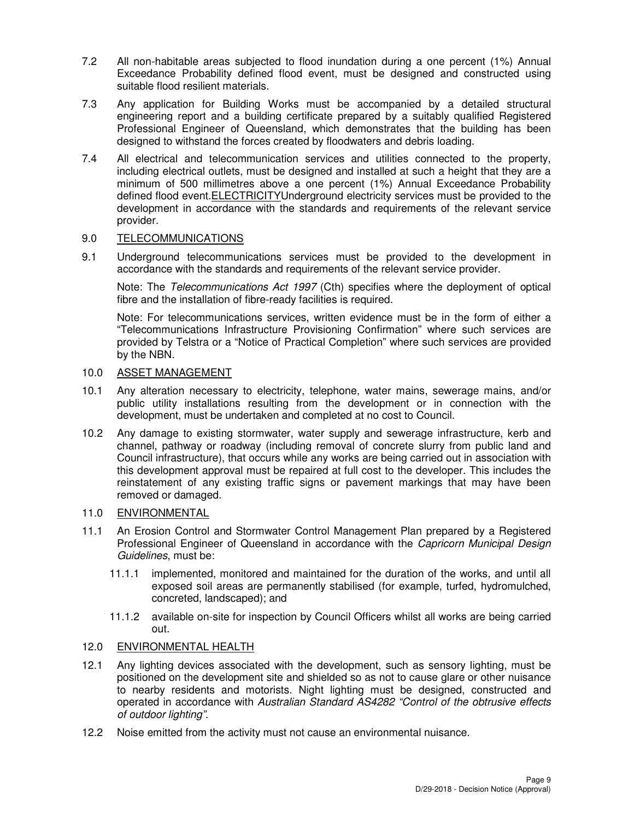- 7.2 All non-habitable areas subjected to flood inundation during a one percent (1%) Annual Exceedance Probability defined flood event, must be designed and constructed using suitable flood resilient materials.
- 7.3 Any application for Building Works must be accompanied by a detailed structural engineering report and a building certificate prepared by a suitably qualified Registered Professional Engineer of Queensland, which demonstrates that the building has been designed to withstand the forces created by floodwaters and debris loading.
- 7.4 All electrical and telecommunication services and utilities connected to the property, including electrical outlets, must be designed and installed at such a height that they are a minimum of 500 millimetres above a one percent (1%) Annual Exceedance Probability defined flood event.ELECTRICITYUnderground electricity services must be provided to the development in accordance with the standards and requirements of the relevant service provider.

### 9.0 TELECOMMUNICATIONS

9.1 Underground telecommunications services must be provided to the development in accordance with the standards and requirements of the relevant service provider.

Note: The Telecommunications Act 1997 (Cth) specifies where the deployment of optical fibre and the installation of fibre-ready facilities is required.

Note: For telecommunications services, written evidence must be in the form of either a "Telecommunications Infrastructure Provisioning Confirmation" where such services are provided by Telstra or a "Notice of Practical Completion" where such services are provided by the NBN.

## 10.0 ASSET MANAGEMENT

- 10.1 Any alteration necessary to electricity, telephone, water mains, sewerage mains, and/or public utility installations resulting from the development or in connection with the development, must be undertaken and completed at no cost to Council.
- 10.2 Any damage to existing stormwater, water supply and sewerage infrastructure, kerb and channel, pathway or roadway (including removal of concrete slurry from public land and Council infrastructure), that occurs while any works are being carried out in association with this development approval must be repaired at full cost to the developer. This includes the reinstatement of any existing traffic signs or pavement markings that may have been removed or damaged.

## 11.0 ENVIRONMENTAL

- 11.1 An Erosion Control and Stormwater Control Management Plan prepared by a Registered Professional Engineer of Queensland in accordance with the Capricorn Municipal Design Guidelines, must be:
	- 11.1.1 implemented, monitored and maintained for the duration of the works, and until all exposed soil areas are permanently stabilised (for example, turfed, hydromulched, concreted, landscaped); and
	- 11.1.2 available on-site for inspection by Council Officers whilst all works are being carried out.

#### 12.0 ENVIRONMENTAL HEALTH

- 12.1 Any lighting devices associated with the development, such as sensory lighting, must be positioned on the development site and shielded so as not to cause glare or other nuisance to nearby residents and motorists. Night lighting must be designed, constructed and operated in accordance with Australian Standard AS4282 "Control of the obtrusive effects of outdoor lighting".
- 12.2 Noise emitted from the activity must not cause an environmental nuisance.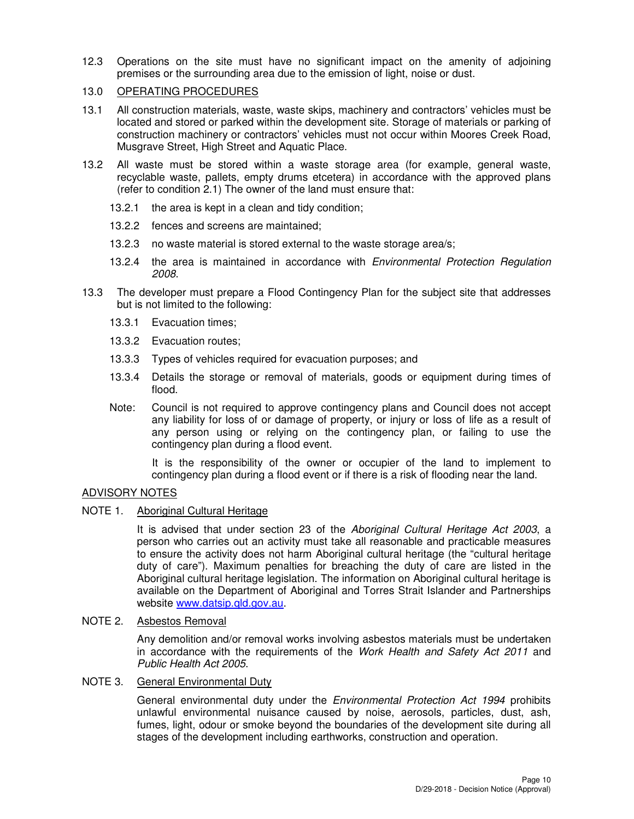12.3 Operations on the site must have no significant impact on the amenity of adjoining premises or the surrounding area due to the emission of light, noise or dust.

## 13.0 OPERATING PROCEDURES

- 13.1 All construction materials, waste, waste skips, machinery and contractors' vehicles must be located and stored or parked within the development site. Storage of materials or parking of construction machinery or contractors' vehicles must not occur within Moores Creek Road, Musgrave Street, High Street and Aquatic Place.
- 13.2 All waste must be stored within a waste storage area (for example, general waste, recyclable waste, pallets, empty drums etcetera) in accordance with the approved plans (refer to condition 2.1) The owner of the land must ensure that:
	- 13.2.1 the area is kept in a clean and tidy condition;
	- 13.2.2 fences and screens are maintained;
	- 13.2.3 no waste material is stored external to the waste storage area/s;
	- 13.2.4 the area is maintained in accordance with *Environmental Protection Regulation* 2008.
- 13.3 The developer must prepare a Flood Contingency Plan for the subject site that addresses but is not limited to the following:
	- 13.3.1 Evacuation times;
	- 13.3.2 Evacuation routes;
	- 13.3.3 Types of vehicles required for evacuation purposes; and
	- 13.3.4 Details the storage or removal of materials, goods or equipment during times of flood.
	- Note: Council is not required to approve contingency plans and Council does not accept any liability for loss of or damage of property, or injury or loss of life as a result of any person using or relying on the contingency plan, or failing to use the contingency plan during a flood event.

 It is the responsibility of the owner or occupier of the land to implement to contingency plan during a flood event or if there is a risk of flooding near the land.

## ADVISORY NOTES

## NOTE 1. Aboriginal Cultural Heritage

It is advised that under section 23 of the Aboriginal Cultural Heritage Act 2003, a person who carries out an activity must take all reasonable and practicable measures to ensure the activity does not harm Aboriginal cultural heritage (the "cultural heritage duty of care"). Maximum penalties for breaching the duty of care are listed in the Aboriginal cultural heritage legislation. The information on Aboriginal cultural heritage is available on the Department of Aboriginal and Torres Strait Islander and Partnerships website www.datsip.qld.gov.au.

#### NOTE 2. Asbestos Removal

Any demolition and/or removal works involving asbestos materials must be undertaken in accordance with the requirements of the Work Health and Safety Act 2011 and Public Health Act 2005.

## NOTE 3. General Environmental Duty

General environmental duty under the *Environmental Protection Act 1994* prohibits unlawful environmental nuisance caused by noise, aerosols, particles, dust, ash, fumes, light, odour or smoke beyond the boundaries of the development site during all stages of the development including earthworks, construction and operation.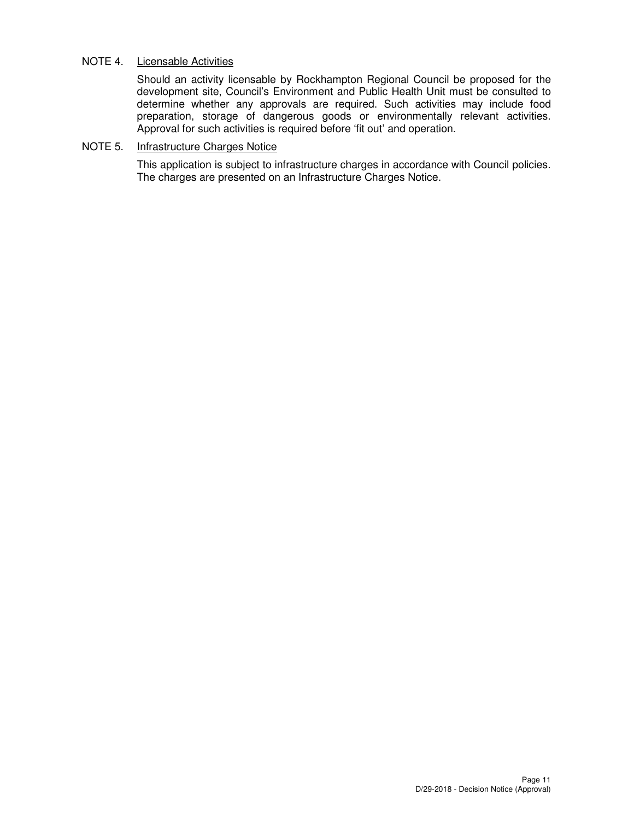## NOTE 4. Licensable Activities

Should an activity licensable by Rockhampton Regional Council be proposed for the development site, Council's Environment and Public Health Unit must be consulted to determine whether any approvals are required. Such activities may include food preparation, storage of dangerous goods or environmentally relevant activities. Approval for such activities is required before 'fit out' and operation.

### NOTE 5. Infrastructure Charges Notice

This application is subject to infrastructure charges in accordance with Council policies. The charges are presented on an Infrastructure Charges Notice.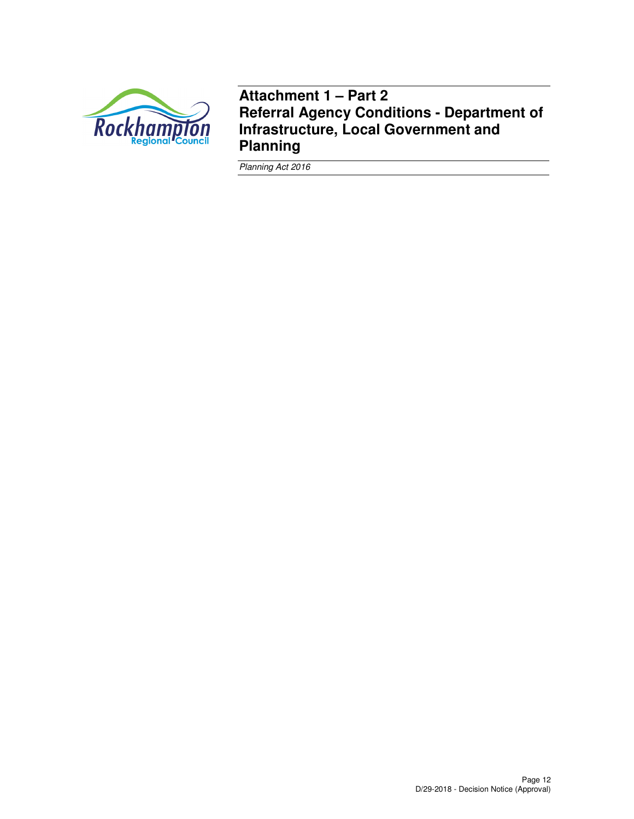

**Attachment 1 – Part 2 Referral Agency Conditions - Department of Infrastructure, Local Government and Planning** 

Planning Act 2016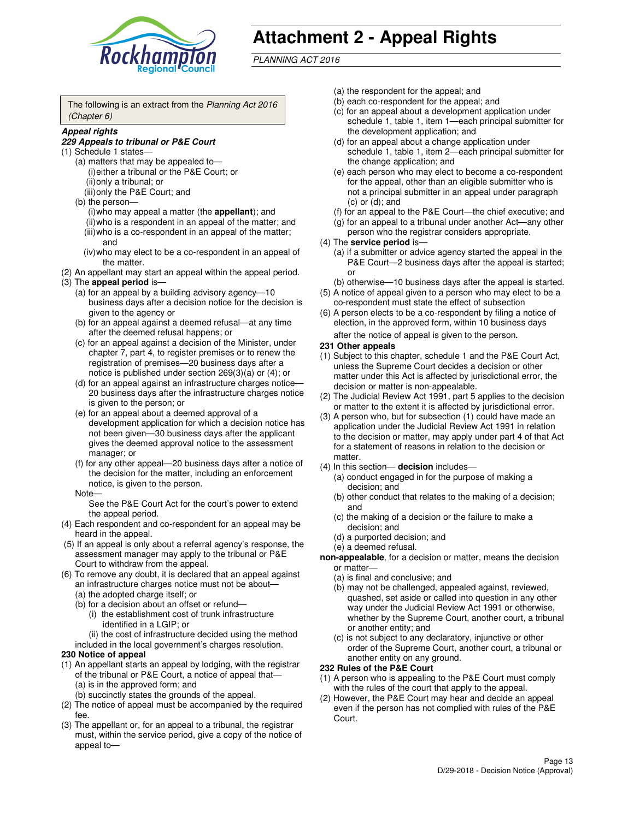

# **Attachment 2 - Appeal Rights**

PLANNING ACT 2016

The following is an extract from the Planning Act 2016 (Chapter 6)

#### **Appeal rights**

#### **229 Appeals to tribunal or P&E Court**

- (1) Schedule 1 states—
	- (a) matters that may be appealed to— (i) either a tribunal or the P&E Court; or (ii) only a tribunal; or (iii) only the P&E Court; and
	- (b) the person—
		- (i) who may appeal a matter (the **appellant**); and
		- (ii) who is a respondent in an appeal of the matter; and (iii) who is a co-respondent in an appeal of the matter; and
		- (iv) who may elect to be a co-respondent in an appeal of the matter.
- (2) An appellant may start an appeal within the appeal period.
- (3) The **appeal period** is—
	- (a) for an appeal by a building advisory agency—10 business days after a decision notice for the decision is given to the agency or
	- (b) for an appeal against a deemed refusal—at any time after the deemed refusal happens; or
	- (c) for an appeal against a decision of the Minister, under chapter 7, part 4, to register premises or to renew the registration of premises—20 business days after a notice is published under section 269(3)(a) or (4); or
	- (d) for an appeal against an infrastructure charges notice— 20 business days after the infrastructure charges notice is given to the person; or
	- (e) for an appeal about a deemed approval of a development application for which a decision notice has not been given—30 business days after the applicant gives the deemed approval notice to the assessment manager; or
	- (f) for any other appeal—20 business days after a notice of the decision for the matter, including an enforcement notice, is given to the person.
	- Note—

See the P&E Court Act for the court's power to extend the appeal period.

- (4) Each respondent and co-respondent for an appeal may be heard in the appeal.
- (5) If an appeal is only about a referral agency's response, the assessment manager may apply to the tribunal or P&E Court to withdraw from the appeal.
- (6) To remove any doubt, it is declared that an appeal against an infrastructure charges notice must not be about—
	- (a) the adopted charge itself; or
	- (b) for a decision about an offset or refund—
		- (i) the establishment cost of trunk infrastructure identified in a LGIP; or
		- (ii) the cost of infrastructure decided using the method
- included in the local government's charges resolution. **230 Notice of appeal**
- (1) An appellant starts an appeal by lodging, with the registrar of the tribunal or P&E Court, a notice of appeal that—
	- (a) is in the approved form; and
	- (b) succinctly states the grounds of the appeal.
- (2) The notice of appeal must be accompanied by the required fee.
- (3) The appellant or, for an appeal to a tribunal, the registrar must, within the service period, give a copy of the notice of appeal to—
- (a) the respondent for the appeal; and
- (b) each co-respondent for the appeal; and
- (c) for an appeal about a development application under schedule 1, table 1, item 1—each principal submitter for the development application; and
- (d) for an appeal about a change application under schedule 1, table 1, item 2—each principal submitter for the change application; and
- (e) each person who may elect to become a co-respondent for the appeal, other than an eligible submitter who is not a principal submitter in an appeal under paragraph  $(c)$  or  $(d)$ ; and
- (f) for an appeal to the P&E Court—the chief executive; and
- (g) for an appeal to a tribunal under another Act—any other person who the registrar considers appropriate.
- (4) The **service period** is—
	- (a) if a submitter or advice agency started the appeal in the P&E Court—2 business days after the appeal is started; or
	- (b) otherwise—10 business days after the appeal is started.
- (5) A notice of appeal given to a person who may elect to be a co-respondent must state the effect of subsection
- (6) A person elects to be a co-respondent by filing a notice of election, in the approved form, within 10 business days after the notice of appeal is given to the person*.*
- **231 Other appeals**
- (1) Subject to this chapter, schedule 1 and the P&E Court Act, unless the Supreme Court decides a decision or other matter under this Act is affected by jurisdictional error, the decision or matter is non-appealable.
- (2) The Judicial Review Act 1991, part 5 applies to the decision or matter to the extent it is affected by jurisdictional error.
- (3) A person who, but for subsection (1) could have made an application under the Judicial Review Act 1991 in relation to the decision or matter, may apply under part 4 of that Act for a statement of reasons in relation to the decision or matter.
- (4) In this section— **decision** includes—
	- (a) conduct engaged in for the purpose of making a decision; and
	- (b) other conduct that relates to the making of a decision; and
	- (c) the making of a decision or the failure to make a decision; and
	- (d) a purported decision; and
	- (e) a deemed refusal.

**non-appealable**, for a decision or matter, means the decision or matter—

- (a) is final and conclusive; and
- (b) may not be challenged, appealed against, reviewed, quashed, set aside or called into question in any other way under the Judicial Review Act 1991 or otherwise, whether by the Supreme Court, another court, a tribunal or another entity; and
- (c) is not subject to any declaratory, injunctive or other order of the Supreme Court, another court, a tribunal or another entity on any ground.

#### **232 Rules of the P&E Court**

- (1) A person who is appealing to the P&E Court must comply with the rules of the court that apply to the appeal.
- (2) However, the P&E Court may hear and decide an appeal even if the person has not complied with rules of the P&E Court.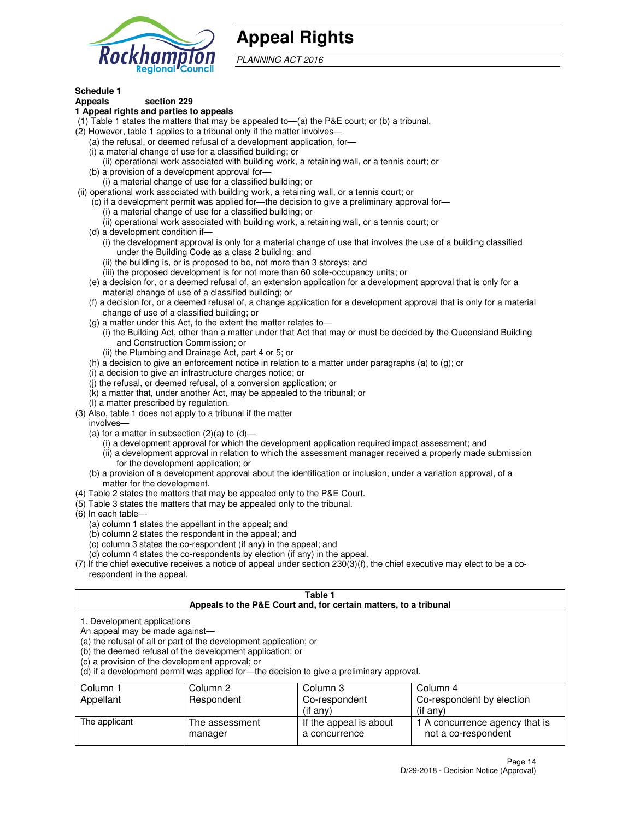

## **Appeal Rights**

PLANNING ACT 2016

## **Schedule 1**

## **Appeals section 229**

#### **1 Appeal rights and parties to appeals**

- (1) Table 1 states the matters that may be appealed to—(a) the P&E court; or (b) a tribunal.
- (2) However, table 1 applies to a tribunal only if the matter involves—
	- (a) the refusal, or deemed refusal of a development application, for—
	- (i) a material change of use for a classified building; or
	- (ii) operational work associated with building work, a retaining wall, or a tennis court; or
	- (b) a provision of a development approval for—
	- (i) a material change of use for a classified building; or
- (ii) operational work associated with building work, a retaining wall, or a tennis court; or
	- (c) if a development permit was applied for—the decision to give a preliminary approval for—
		- (i) a material change of use for a classified building; or
		- (ii) operational work associated with building work, a retaining wall, or a tennis court; or
	- (d) a development condition if—
		- (i) the development approval is only for a material change of use that involves the use of a building classified under the Building Code as a class 2 building; and
		- (ii) the building is, or is proposed to be, not more than 3 storeys; and
		- (iii) the proposed development is for not more than 60 sole-occupancy units; or
	- (e) a decision for, or a deemed refusal of, an extension application for a development approval that is only for a material change of use of a classified building; or
	- (f) a decision for, or a deemed refusal of, a change application for a development approval that is only for a material change of use of a classified building; or
	- (g) a matter under this Act, to the extent the matter relates to—
		- (i) the Building Act, other than a matter under that Act that may or must be decided by the Queensland Building and Construction Commission; or
		- (ii) the Plumbing and Drainage Act, part 4 or 5; or
	- (h) a decision to give an enforcement notice in relation to a matter under paragraphs (a) to (g); or
	- (i) a decision to give an infrastructure charges notice; or
	- (j) the refusal, or deemed refusal, of a conversion application; or
	- (k) a matter that, under another Act, may be appealed to the tribunal; or
	- (l) a matter prescribed by regulation.
- (3) Also, table 1 does not apply to a tribunal if the matter
	- involves—
	- (a) for a matter in subsection  $(2)(a)$  to  $(d)$ 
		- (i) a development approval for which the development application required impact assessment; and
		- (ii) a development approval in relation to which the assessment manager received a properly made submission for the development application; or
	- (b) a provision of a development approval about the identification or inclusion, under a variation approval, of a matter for the development.
- (4) Table 2 states the matters that may be appealed only to the P&E Court.
- (5) Table 3 states the matters that may be appealed only to the tribunal.
- (6) In each table—
	- (a) column 1 states the appellant in the appeal; and
	- (b) column 2 states the respondent in the appeal; and
	- (c) column 3 states the co-respondent (if any) in the appeal; and
	- (d) column 4 states the co-respondents by election (if any) in the appeal.
- (7) If the chief executive receives a notice of appeal under section 230(3)(f), the chief executive may elect to be a corespondent in the appeal.

| Table 1<br>Appeals to the P&E Court and, for certain matters, to a tribunal                                      |                                                                                                                                |                                                                                          |                                                       |  |
|------------------------------------------------------------------------------------------------------------------|--------------------------------------------------------------------------------------------------------------------------------|------------------------------------------------------------------------------------------|-------------------------------------------------------|--|
| 1. Development applications<br>An appeal may be made against-<br>(c) a provision of the development approval; or | (a) the refusal of all or part of the development application; or<br>(b) the deemed refusal of the development application; or | (d) if a development permit was applied for-the decision to give a preliminary approval. |                                                       |  |
| Column 3<br>Column 2<br>Column 4<br>Column 1                                                                     |                                                                                                                                |                                                                                          |                                                       |  |
| Appellant                                                                                                        | Respondent                                                                                                                     | Co-respondent                                                                            | Co-respondent by election                             |  |
| $($ if any $)$<br>$($ if any $)$                                                                                 |                                                                                                                                |                                                                                          |                                                       |  |
| The applicant                                                                                                    | The assessment<br>manager                                                                                                      | If the appeal is about<br>a concurrence                                                  | 1 A concurrence agency that is<br>not a co-respondent |  |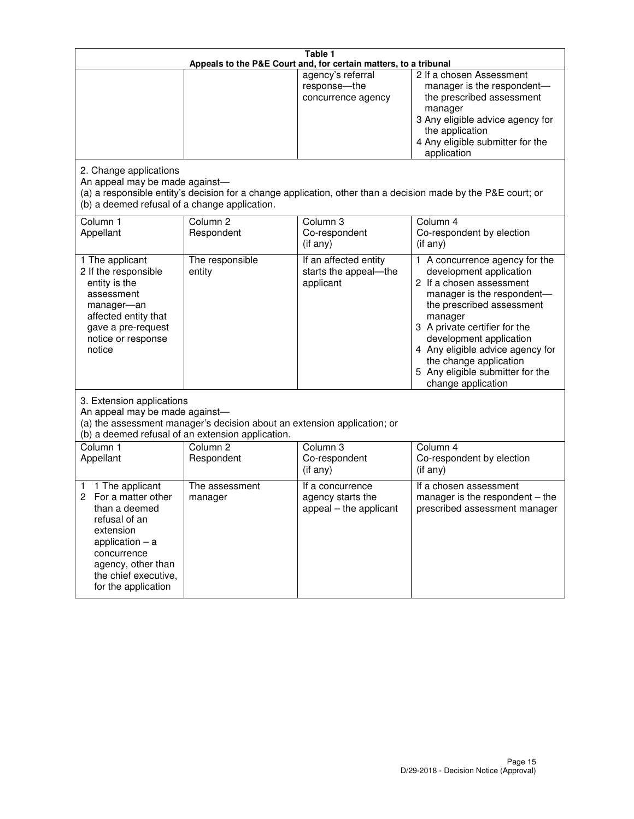|                                                                                                                                                                                                         | Table 1<br>Appeals to the P&E Court and, for certain matters, to a tribunal |                                                                 |                                                                                                                                                                                                                                                                                                                                                     |  |  |
|---------------------------------------------------------------------------------------------------------------------------------------------------------------------------------------------------------|-----------------------------------------------------------------------------|-----------------------------------------------------------------|-----------------------------------------------------------------------------------------------------------------------------------------------------------------------------------------------------------------------------------------------------------------------------------------------------------------------------------------------------|--|--|
|                                                                                                                                                                                                         |                                                                             | agency's referral<br>response-the<br>concurrence agency         | 2 If a chosen Assessment<br>manager is the respondent-<br>the prescribed assessment<br>manager<br>3 Any eligible advice agency for<br>the application<br>4 Any eligible submitter for the<br>application                                                                                                                                            |  |  |
| 2. Change applications<br>An appeal may be made against-<br>(b) a deemed refusal of a change application.                                                                                               |                                                                             |                                                                 | (a) a responsible entity's decision for a change application, other than a decision made by the P&E court; or                                                                                                                                                                                                                                       |  |  |
| Column <sub>1</sub><br>Appellant                                                                                                                                                                        | Column <sub>2</sub><br>Respondent                                           | Column <sub>3</sub><br>Co-respondent<br>(if any)                | Column 4<br>Co-respondent by election<br>(if any)                                                                                                                                                                                                                                                                                                   |  |  |
| 1 The applicant<br>2 If the responsible<br>entity is the<br>assessment<br>manager-an<br>affected entity that<br>gave a pre-request<br>notice or response<br>notice                                      | The responsible<br>entity                                                   | If an affected entity<br>starts the appeal-the<br>applicant     | A concurrence agency for the<br>1.<br>development application<br>2 If a chosen assessment<br>manager is the respondent-<br>the prescribed assessment<br>manager<br>3 A private certifier for the<br>development application<br>4 Any eligible advice agency for<br>the change application<br>5 Any eligible submitter for the<br>change application |  |  |
| 3. Extension applications<br>An appeal may be made against-<br>(a) the assessment manager's decision about an extension application; or<br>(b) a deemed refusal of an extension application.            |                                                                             |                                                                 |                                                                                                                                                                                                                                                                                                                                                     |  |  |
| Column 1<br>Appellant                                                                                                                                                                                   | Column <sub>2</sub><br>Respondent                                           | Column <sub>3</sub><br>Co-respondent<br>(if any)                | Column 4<br>Co-respondent by election<br>(if any)                                                                                                                                                                                                                                                                                                   |  |  |
| 1 The applicant<br>1<br>For a matter other<br>2<br>than a deemed<br>refusal of an<br>extension<br>application $-$ a<br>concurrence<br>agency, other than<br>the chief executive,<br>for the application | The assessment<br>manager                                                   | If a concurrence<br>agency starts the<br>appeal - the applicant | If a chosen assessment<br>manager is the respondent - the<br>prescribed assessment manager                                                                                                                                                                                                                                                          |  |  |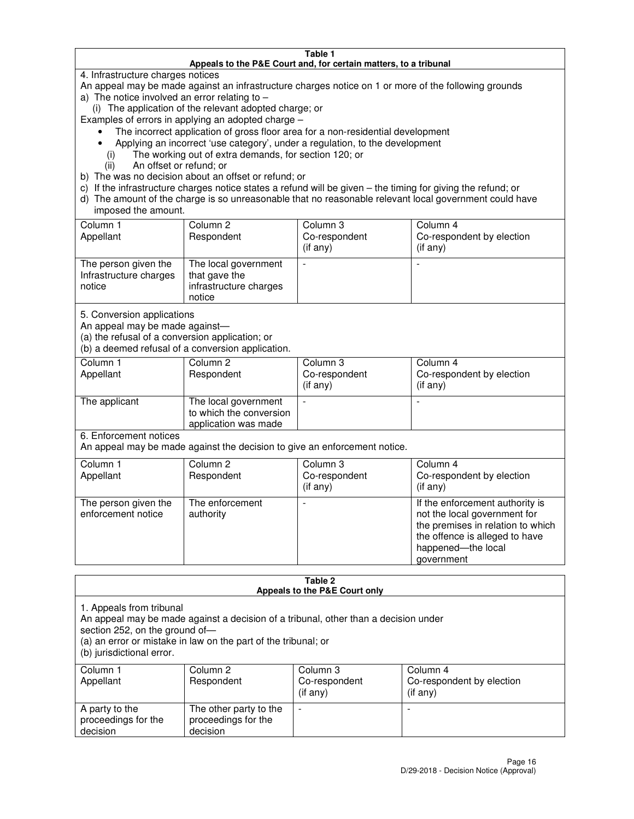#### **Table 1 Appeals to the P&E Court and, for certain matters, to a tribunal**

4. Infrastructure charges notices

An appeal may be made against an infrastructure charges notice on 1 or more of the following grounds

- a) The notice involved an error relating to
	- (i) The application of the relevant adopted charge; or
- Examples of errors in applying an adopted charge
	- The incorrect application of gross floor area for a non-residential development
	- Applying an incorrect 'use category', under a regulation, to the development
		- (i) The working out of extra demands, for section 120; or
		- (ii) An offset or refund; or
- b) The was no decision about an offset or refund; or
- c) If the infrastructure charges notice states a refund will be given the timing for giving the refund; or
- d) The amount of the charge is so unreasonable that no reasonable relevant local government could have imposed the amount.

| Column 1<br>Appellant                                    | Column 2<br>Respondent                                                    | Column 3<br>Co-respondent<br>$($ if any $)$ | Column 4<br>Co-respondent by election<br>$($ if any $)$ |
|----------------------------------------------------------|---------------------------------------------------------------------------|---------------------------------------------|---------------------------------------------------------|
| The person given the<br>Infrastructure charges<br>notice | The local government<br>that gave the<br>infrastructure charges<br>notice |                                             |                                                         |

5. Conversion applications

An appeal may be made against—

(a) the refusal of a conversion application; or

(b) a deemed refusal of a conversion application.

| Column 1<br>Appellant | Column 2<br>Respondent                                                  | Column 3<br>Co-respondent<br>$($ if any $)$ | Column 4<br>Co-respondent by election<br>$($ if any $)$ |
|-----------------------|-------------------------------------------------------------------------|---------------------------------------------|---------------------------------------------------------|
| The applicant         | The local government<br>to which the conversion<br>application was made |                                             |                                                         |

6. Enforcement notices

An appeal may be made against the decision to give an enforcement notice.

| Column 1<br>Appellant                      | Column 2<br>Respondent       | Column 3<br>Co-respondent<br>$($ if any $)$ | Column 4<br>Co-respondent by election<br>(if any)                                                                                                                          |
|--------------------------------------------|------------------------------|---------------------------------------------|----------------------------------------------------------------------------------------------------------------------------------------------------------------------------|
| The person given the<br>enforcement notice | The enforcement<br>authority |                                             | If the enforcement authority is<br>not the local government for<br>the premises in relation to which<br>the offence is alleged to have<br>happened-the local<br>government |

#### **Table 2 Appeals to the P&E Court only**

1. Appeals from tribunal

An appeal may be made against a decision of a tribunal, other than a decision under

section 252, on the ground of—

(a) an error or mistake in law on the part of the tribunal; or

(b) jurisdictional error.

| Column 1<br>Appellant                             | Column 2<br>Respondent                                    | Column 3<br>Co-respondent<br>(if any) | Column 4<br>Co-respondent by election<br>(if any) |
|---------------------------------------------------|-----------------------------------------------------------|---------------------------------------|---------------------------------------------------|
| A party to the<br>proceedings for the<br>decision | The other party to the<br>proceedings for the<br>decision | -                                     |                                                   |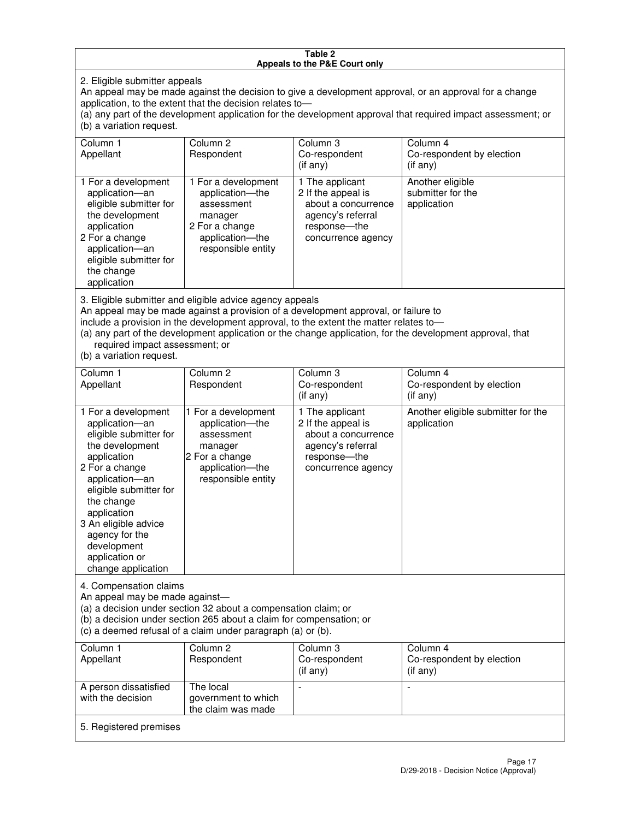#### **Table 2 Appeals to the P&E Court only**

2. Eligible submitter appeals

An appeal may be made against the decision to give a development approval, or an approval for a change application, to the extent that the decision relates to—

(a) any part of the development application for the development approval that required impact assessment; or (b) a variation request.

| Column 1<br>Appellant                                                                                                                                                                                                                                                                                                                                                                                              | Column <sub>2</sub><br>Respondent                                                                                          | Column 3<br>Co-respondent<br>(if any)                                                                                     | Column 4<br>Co-respondent by election<br>(i f any)           |
|--------------------------------------------------------------------------------------------------------------------------------------------------------------------------------------------------------------------------------------------------------------------------------------------------------------------------------------------------------------------------------------------------------------------|----------------------------------------------------------------------------------------------------------------------------|---------------------------------------------------------------------------------------------------------------------------|--------------------------------------------------------------|
| 1 For a development<br>application-an<br>eligible submitter for<br>the development<br>application<br>2 For a change<br>application-an<br>eligible submitter for<br>the change<br>application                                                                                                                                                                                                                       | 1 For a development<br>application-the<br>assessment<br>manager<br>2 For a change<br>application-the<br>responsible entity | 1 The applicant<br>2 If the appeal is<br>about a concurrence<br>agency's referral<br>response---the<br>concurrence agency | Another eligible<br>submitter for the<br>application         |
| 3. Eligible submitter and eligible advice agency appeals<br>An appeal may be made against a provision of a development approval, or failure to<br>include a provision in the development approval, to the extent the matter relates to-<br>(a) any part of the development application or the change application, for the development approval, that<br>required impact assessment; or<br>(b) a variation request. |                                                                                                                            |                                                                                                                           |                                                              |
| Column 1<br>Appellant                                                                                                                                                                                                                                                                                                                                                                                              | Column <sub>2</sub><br>Respondent                                                                                          | Column 3<br>Co-respondent<br>(if any)                                                                                     | Column <sub>4</sub><br>Co-respondent by election<br>(if any) |
| 1 For a development<br>application-an<br>eligible submitter for<br>the development                                                                                                                                                                                                                                                                                                                                 | 1 For a development<br>application-the<br>assessment<br>manager                                                            | 1 The applicant<br>2 If the appeal is<br>about a concurrence<br>agency's referral                                         | Another eligible submitter for the<br>application            |

response—the concurrence agency

change application 4. Compensation claims

application 2 For a change application—an eligible submitter for

the change application 3 An eligible advice agency for the development application or

An appeal may be made against—

(a) a decision under section 32 about a compensation claim; or

2 For a change application—the responsible entity

(b) a decision under section 265 about a claim for compensation; or

(c) a deemed refusal of a claim under paragraph (a) or (b).

| Column 1<br>Appellant                      | Column 2<br>Respondent                                 | Column 3<br>Co-respondent<br>(if any) | Column 4<br>Co-respondent by election<br>(if any) |
|--------------------------------------------|--------------------------------------------------------|---------------------------------------|---------------------------------------------------|
| A person dissatisfied<br>with the decision | The local<br>government to which<br>the claim was made |                                       |                                                   |
| 5. Registered premises                     |                                                        |                                       |                                                   |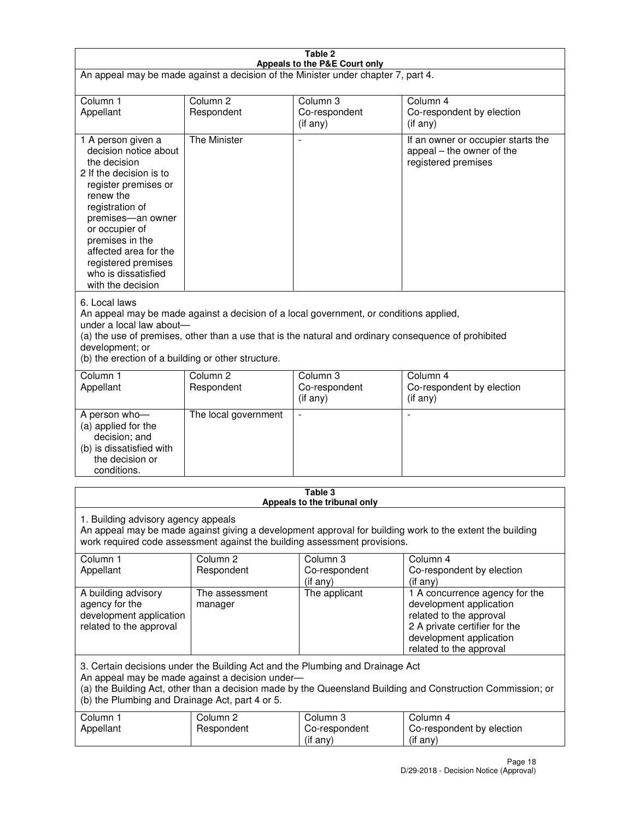| Table 2                                                                                                                                                                                                                                                                                                              |                                   |                                         |                                                                                                                                                                             |  |
|----------------------------------------------------------------------------------------------------------------------------------------------------------------------------------------------------------------------------------------------------------------------------------------------------------------------|-----------------------------------|-----------------------------------------|-----------------------------------------------------------------------------------------------------------------------------------------------------------------------------|--|
| Appeals to the P&E Court only<br>An appeal may be made against a decision of the Minister under chapter 7, part 4.                                                                                                                                                                                                   |                                   |                                         |                                                                                                                                                                             |  |
| Column 1                                                                                                                                                                                                                                                                                                             | Column <sub>2</sub>               | Column <sub>3</sub>                     | Column 4                                                                                                                                                                    |  |
| Appellant                                                                                                                                                                                                                                                                                                            | Respondent                        | Co-respondent<br>(if any)               | Co-respondent by election<br>(if any)                                                                                                                                       |  |
| 1 A person given a<br>decision notice about<br>the decision<br>2 If the decision is to<br>register premises or<br>renew the<br>registration of<br>premises-an owner<br>or occupier of<br>premises in the<br>affected area for the<br>registered premises<br>who is dissatisfied<br>with the decision                 | <b>The Minister</b>               | ÷,                                      | If an owner or occupier starts the<br>appeal – the owner of the<br>registered premises                                                                                      |  |
| 6. Local laws<br>An appeal may be made against a decision of a local government, or conditions applied,<br>under a local law about-<br>(a) the use of premises, other than a use that is the natural and ordinary consequence of prohibited<br>development; or<br>(b) the erection of a building or other structure. |                                   |                                         |                                                                                                                                                                             |  |
| Column 1<br>Appellant                                                                                                                                                                                                                                                                                                | Column 2<br>Respondent            | Column 3<br>Co-respondent<br>(if any)   | Column 4<br>Co-respondent by election<br>(if any)                                                                                                                           |  |
| A person who-<br>(a) applied for the<br>decision; and<br>(b) is dissatisfied with<br>the decision or<br>conditions.                                                                                                                                                                                                  | The local government              |                                         |                                                                                                                                                                             |  |
|                                                                                                                                                                                                                                                                                                                      |                                   | Table 3<br>Appeals to the tribunal only |                                                                                                                                                                             |  |
| 1. Building advisory agency appeals<br>An appeal may be made against giving a development approval for building work to the extent the building<br>work required code assessment against the building assessment provisions.                                                                                         |                                   |                                         |                                                                                                                                                                             |  |
| Column 1<br>Appellant                                                                                                                                                                                                                                                                                                | Column <sub>2</sub><br>Respondent | Column 3<br>Co-respondent<br>(if any)   | Column 4<br>Co-respondent by election<br>(if any)                                                                                                                           |  |
| A building advisory<br>agency for the<br>development application<br>related to the approval                                                                                                                                                                                                                          | The assessment<br>manager         | The applicant                           | 1 A concurrence agency for the<br>development application<br>related to the approval<br>2 A private certifier for the<br>development application<br>related to the approval |  |
| 3. Certain decisions under the Building Act and the Plumbing and Drainage Act<br>An appeal may be made against a decision under-<br>(a) the Building Act, other than a decision made by the Queensland Building and Construction Commission; or<br>(b) the Plumbing and Drainage Act, part 4 or 5.                   |                                   |                                         |                                                                                                                                                                             |  |
| Column 1<br>Appellant                                                                                                                                                                                                                                                                                                | Column <sub>2</sub><br>Respondent | Column 3<br>Co-respondent<br>(if any)   | Column 4<br>Co-respondent by election<br>(if any)                                                                                                                           |  |